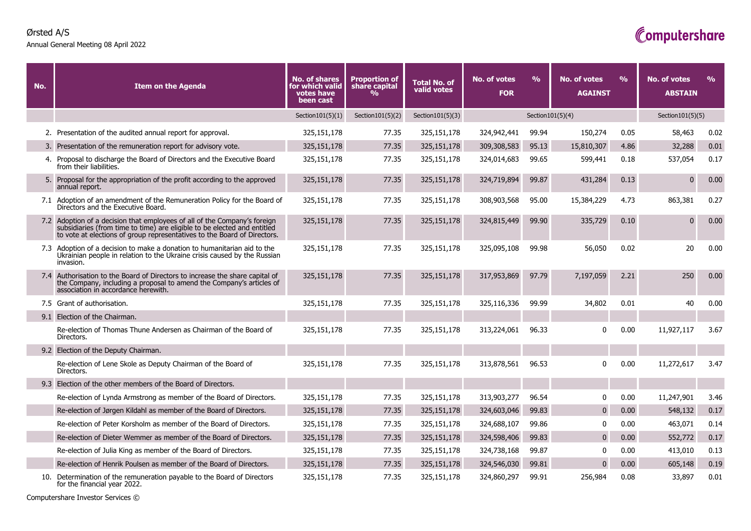## **Ørsted A/S**

**Annual General Meeting 08 April 2022**

## Computershare

| No. | <b>Item on the Agenda</b>                                                                                                                                                                                                         | <b>No. of shares</b><br>for which valid<br>votes have<br>been cast | <b>Proportion of</b><br>share capital<br>% | <b>Total No. of</b><br>valid votes | <b>No. of votes</b><br><b>FOR</b> | $\frac{0}{0}$ | <b>No. of votes</b><br><b>AGAINST</b> | $\frac{9}{6}$ | No. of votes<br><b>ABSTAIN</b> | $\frac{9}{6}$ |
|-----|-----------------------------------------------------------------------------------------------------------------------------------------------------------------------------------------------------------------------------------|--------------------------------------------------------------------|--------------------------------------------|------------------------------------|-----------------------------------|---------------|---------------------------------------|---------------|--------------------------------|---------------|
|     |                                                                                                                                                                                                                                   | Section $101(5)(1)$                                                | Section $101(5)(2)$                        | Section $101(5)(3)$                | Section101(5)(4)                  |               |                                       |               | Section $101(5)(5)$            |               |
|     | 2. Presentation of the audited annual report for approval.                                                                                                                                                                        | 325, 151, 178                                                      | 77.35                                      | 325,151,178                        | 324,942,441                       | 99.94         | 150,274                               | 0.05          | 58,463                         | 0.02          |
|     | 3. Presentation of the remuneration report for advisory vote.                                                                                                                                                                     | 325, 151, 178                                                      | 77.35                                      | 325,151,178                        | 309,308,583                       | 95.13         | 15,810,307                            | 4.86          | 32,288                         | 0.01          |
|     | 4. Proposal to discharge the Board of Directors and the Executive Board<br>from their liabilities.                                                                                                                                | 325, 151, 178                                                      | 77.35                                      | 325,151,178                        | 324,014,683                       | 99.65         | 599,441                               | 0.18          | 537,054                        | 0.17          |
|     | 5. Proposal for the appropriation of the profit according to the approved<br>annual report.                                                                                                                                       | 325, 151, 178                                                      | 77.35                                      | 325,151,178                        | 324,719,894                       | 99.87         | 431,284                               | 0.13          | $\mathbf{0}$                   | 0.00          |
|     | 7.1 Adoption of an amendment of the Remuneration Policy for the Board of<br>Directors and the Executive Board.                                                                                                                    | 325, 151, 178                                                      | 77.35                                      | 325,151,178                        | 308,903,568                       | 95.00         | 15,384,229                            | 4.73          | 863,381                        | 0.27          |
|     | 7.2 Adoption of a decision that employees of all of the Company's foreign<br>subsidiaries (from time to time) are eligible to be elected and entitled<br>to vote at elections of group representatives to the Board of Directors. | 325, 151, 178                                                      | 77.35                                      | 325,151,178                        | 324,815,449                       | 99.90         | 335,729                               | 0.10          | $\mathbf{0}$                   | 0.00          |
|     | 7.3 Adoption of a decision to make a donation to humanitarian aid to the<br>Ukrainian people in relation to the Ukraine crisis caused by the Russian<br>invasion.                                                                 | 325,151,178                                                        | 77.35                                      | 325,151,178                        | 325,095,108                       | 99.98         | 56,050                                | 0.02          | 20                             | 0.00          |
|     | 7.4 Authorisation to the Board of Directors to increase the share capital of<br>the Company, including a proposal to amend the Company's articles of<br>association in accordance herewith.                                       | 325, 151, 178                                                      | 77.35                                      | 325,151,178                        | 317,953,869                       | 97.79         | 7,197,059                             | 2.21          | 250                            | 0.00          |
|     | 7.5 Grant of authorisation.                                                                                                                                                                                                       | 325, 151, 178                                                      | 77.35                                      | 325,151,178                        | 325,116,336                       | 99.99         | 34,802                                | 0.01          | 40                             | 0.00          |
|     | 9.1 Election of the Chairman.                                                                                                                                                                                                     |                                                                    |                                            |                                    |                                   |               |                                       |               |                                |               |
|     | Re-election of Thomas Thune Andersen as Chairman of the Board of<br>Directors.                                                                                                                                                    | 325, 151, 178                                                      | 77.35                                      | 325,151,178                        | 313,224,061                       | 96.33         | $\mathbf{0}$                          | 0.00          | 11,927,117                     | 3.67          |
|     | 9.2 Election of the Deputy Chairman.                                                                                                                                                                                              |                                                                    |                                            |                                    |                                   |               |                                       |               |                                |               |
|     | Re-election of Lene Skole as Deputy Chairman of the Board of<br>Directors.                                                                                                                                                        | 325,151,178                                                        | 77.35                                      | 325,151,178                        | 313,878,561                       | 96.53         | U                                     | 0.00          | 11,272,617                     | 3.47          |
|     | 9.3 Election of the other members of the Board of Directors.                                                                                                                                                                      |                                                                    |                                            |                                    |                                   |               |                                       |               |                                |               |
|     | Re-election of Lynda Armstrong as member of the Board of Directors.                                                                                                                                                               | 325,151,178                                                        | 77.35                                      | 325,151,178                        | 313,903,277                       | 96.54         | $\mathbf{0}$                          | 0.00          | 11,247,901                     | 3.46          |
|     | Re-election of Jørgen Kildahl as member of the Board of Directors.                                                                                                                                                                | 325, 151, 178                                                      | 77.35                                      | 325,151,178                        | 324,603,046                       | 99.83         | $\mathbf 0$                           | 0.00          | 548,132                        | 0.17          |
|     | Re-election of Peter Korsholm as member of the Board of Directors.                                                                                                                                                                | 325,151,178                                                        | 77.35                                      | 325,151,178                        | 324,688,107                       | 99.86         | $\mathbf{0}$                          | 0.00          | 463,071                        | 0.14          |
|     | Re-election of Dieter Wemmer as member of the Board of Directors.                                                                                                                                                                 | 325, 151, 178                                                      | 77.35                                      | 325,151,178                        | 324,598,406                       | 99.83         | $\mathbf{0}$                          | 0.00          | 552,772                        | 0.17          |
|     | Re-election of Julia King as member of the Board of Directors.                                                                                                                                                                    | 325, 151, 178                                                      | 77.35                                      | 325,151,178                        | 324,738,168                       | 99.87         | $\mathbf{0}$                          | 0.00          | 413,010                        | 0.13          |
|     | Re-election of Henrik Poulsen as member of the Board of Directors.                                                                                                                                                                | 325,151,178                                                        | 77.35                                      | 325,151,178                        | 324,546,030                       | 99.81         | $\mathbf{0}$                          | 0.00          | 605,148                        | 0.19          |
|     | 10. Determination of the remuneration payable to the Board of Directors<br>for the financial year 2022.                                                                                                                           | 325,151,178                                                        | 77.35                                      | 325,151,178                        | 324,860,297                       | 99.91         | 256,984                               | 0.08          | 33,897                         | 0.01          |